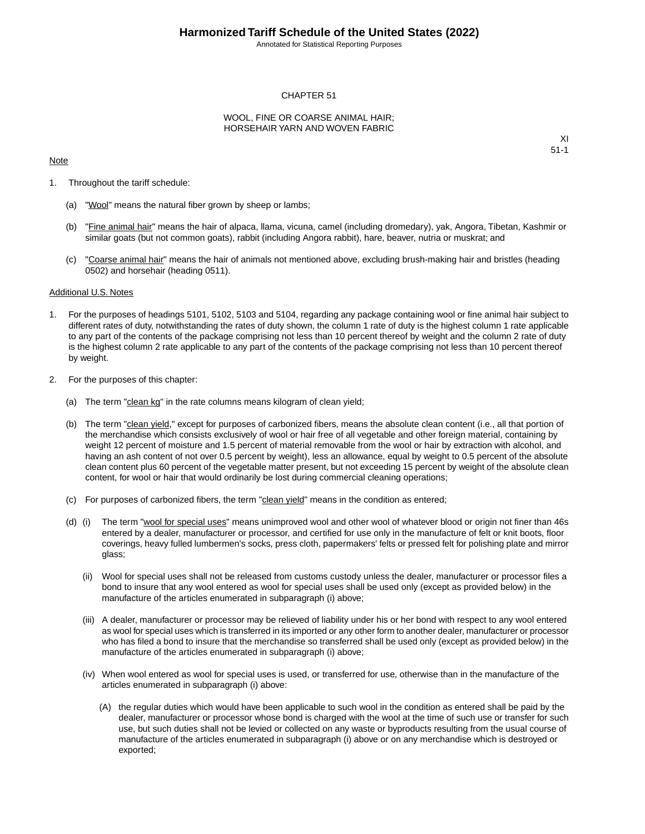Annotated for Statistical Reporting Purposes

#### CHAPTER 51

#### WOOL, FINE OR COARSE ANIMAL HAIR; HORSEHAIR YARN AND WOVEN FABRIC

#### Note

XI 51-1

- 1. Throughout the tariff schedule:
	- (a) "Wool" means the natural fiber grown by sheep or lambs;
	- (b) "Fine animal hair" means the hair of alpaca, llama, vicuna, camel (including dromedary), yak, Angora, Tibetan, Kashmir or similar goats (but not common goats), rabbit (including Angora rabbit), hare, beaver, nutria or muskrat; and
	- (c) "Coarse animal hair" means the hair of animals not mentioned above, excluding brush-making hair and bristles (heading 0502) and horsehair (heading 0511).

#### Additional U.S. Notes

- 1. For the purposes of headings 5101, 5102, 5103 and 5104, regarding any package containing wool or fine animal hair subject to different rates of duty, notwithstanding the rates of duty shown, the column 1 rate of duty is the highest column 1 rate applicable to any part of the contents of the package comprising not less than 10 percent thereof by weight and the column 2 rate of duty is the highest column 2 rate applicable to any part of the contents of the package comprising not less than 10 percent thereof by weight.
- 2. For the purposes of this chapter:
	- (a) The term "clean kg" in the rate columns means kilogram of clean yield;
	- (b) The term "clean yield," except for purposes of carbonized fibers, means the absolute clean content (i.e., all that portion of the merchandise which consists exclusively of wool or hair free of all vegetable and other foreign material, containing by weight 12 percent of moisture and 1.5 percent of material removable from the wool or hair by extraction with alcohol, and having an ash content of not over 0.5 percent by weight), less an allowance, equal by weight to 0.5 percent of the absolute clean content plus 60 percent of the vegetable matter present, but not exceeding 15 percent by weight of the absolute clean content, for wool or hair that would ordinarily be lost during commercial cleaning operations;
	- (c) For purposes of carbonized fibers, the term "clean yield" means in the condition as entered;
	- (d) (i) The term "wool for special uses" means unimproved wool and other wool of whatever blood or origin not finer than 46s entered by a dealer, manufacturer or processor, and certified for use only in the manufacture of felt or knit boots, floor coverings, heavy fulled lumbermen's socks, press cloth, papermakers' felts or pressed felt for polishing plate and mirror glass;
		- (ii) Wool for special uses shall not be released from customs custody unless the dealer, manufacturer or processor files a bond to insure that any wool entered as wool for special uses shall be used only (except as provided below) in the manufacture of the articles enumerated in subparagraph (i) above;
		- (iii) A dealer, manufacturer or processor may be relieved of liability under his or her bond with respect to any wool entered as wool for special uses which is transferred in its imported or any other form to another dealer, manufacturer or processor who has filed a bond to insure that the merchandise so transferred shall be used only (except as provided below) in the manufacture of the articles enumerated in subparagraph (i) above;
		- (iv) When wool entered as wool for special uses is used, or transferred for use, otherwise than in the manufacture of the articles enumerated in subparagraph (i) above:
			- (A) the regular duties which would have been applicable to such wool in the condition as entered shall be paid by the dealer, manufacturer or processor whose bond is charged with the wool at the time of such use or transfer for such use, but such duties shall not be levied or collected on any waste or byproducts resulting from the usual course of manufacture of the articles enumerated in subparagraph (i) above or on any merchandise which is destroyed or exported;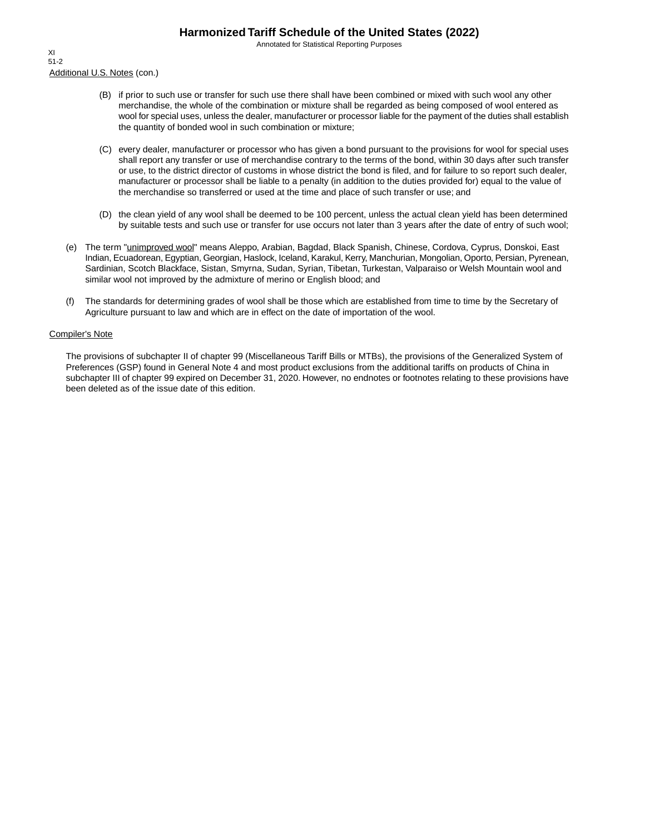Annotated for Statistical Reporting Purposes

Additional U.S. Notes (con.) XI 51-2

- (B) if prior to such use or transfer for such use there shall have been combined or mixed with such wool any other merchandise, the whole of the combination or mixture shall be regarded as being composed of wool entered as wool for special uses, unless the dealer, manufacturer or processor liable for the payment of the duties shall establish the quantity of bonded wool in such combination or mixture;
- (C) every dealer, manufacturer or processor who has given a bond pursuant to the provisions for wool for special uses shall report any transfer or use of merchandise contrary to the terms of the bond, within 30 days after such transfer or use, to the district director of customs in whose district the bond is filed, and for failure to so report such dealer, manufacturer or processor shall be liable to a penalty (in addition to the duties provided for) equal to the value of the merchandise so transferred or used at the time and place of such transfer or use; and
- (D) the clean yield of any wool shall be deemed to be 100 percent, unless the actual clean yield has been determined by suitable tests and such use or transfer for use occurs not later than 3 years after the date of entry of such wool;
- (e) The term "unimproved wool" means Aleppo, Arabian, Bagdad, Black Spanish, Chinese, Cordova, Cyprus, Donskoi, East Indian, Ecuadorean, Egyptian, Georgian, Haslock, Iceland, Karakul, Kerry, Manchurian, Mongolian, Oporto, Persian, Pyrenean, Sardinian, Scotch Blackface, Sistan, Smyrna, Sudan, Syrian, Tibetan, Turkestan, Valparaiso or Welsh Mountain wool and similar wool not improved by the admixture of merino or English blood; and
- (f) The standards for determining grades of wool shall be those which are established from time to time by the Secretary of Agriculture pursuant to law and which are in effect on the date of importation of the wool.

#### Compiler's Note

The provisions of subchapter II of chapter 99 (Miscellaneous Tariff Bills or MTBs), the provisions of the Generalized System of Preferences (GSP) found in General Note 4 and most product exclusions from the additional tariffs on products of China in subchapter III of chapter 99 expired on December 31, 2020. However, no endnotes or footnotes relating to these provisions have been deleted as of the issue date of this edition.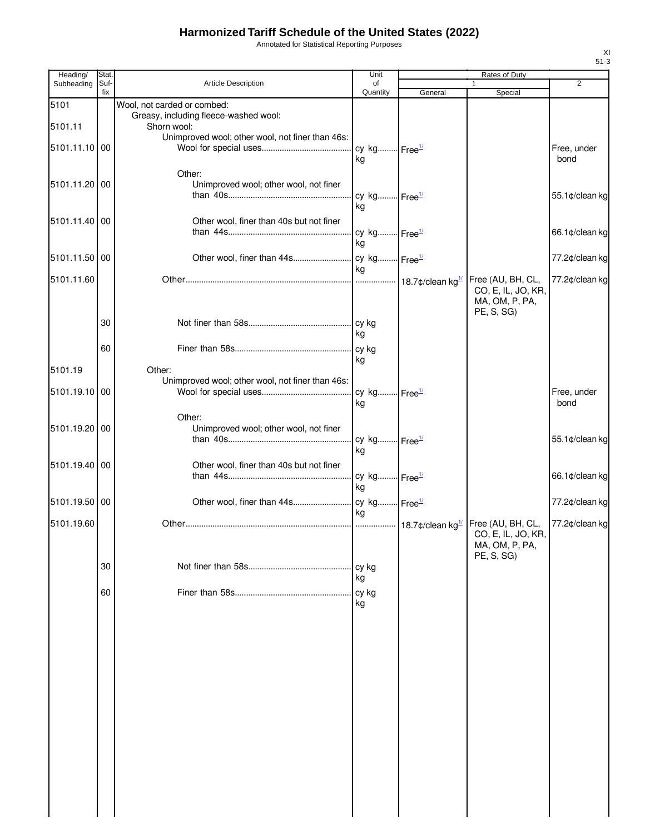Annotated for Statistical Reporting Purposes

| Heading/      | Stat.       |                                                                      | Unit                           |         | Rates of Duty                                                           |                     |
|---------------|-------------|----------------------------------------------------------------------|--------------------------------|---------|-------------------------------------------------------------------------|---------------------|
| Subheading    | Suf-<br>fix | Article Description                                                  | of<br>Quantity                 | General | 1<br>Special                                                            | $\overline{2}$      |
| 5101          |             | Wool, not carded or combed:<br>Greasy, including fleece-washed wool: |                                |         |                                                                         |                     |
| 5101.11       |             | Shorn wool:                                                          |                                |         |                                                                         |                     |
| 5101.11.10 00 |             | Unimproved wool; other wool, not finer than 46s:                     | cy kg Free <sup>1/</sup><br>kg |         |                                                                         | Free, under<br>bond |
| 5101.11.20 00 |             | Other:<br>Unimproved wool; other wool, not finer                     | cy kg Free <sup>1/</sup>       |         |                                                                         | 55.1¢/clean kg      |
| 5101.11.40 00 |             | Other wool, finer than 40s but not finer                             | kg                             |         |                                                                         |                     |
|               |             |                                                                      | cy kg Free <sup>1/</sup><br>ka |         |                                                                         | 66.1¢/clean kg      |
| 5101.11.50 00 |             |                                                                      | kg                             |         |                                                                         | 77.2¢/clean kg      |
| 5101.11.60    |             |                                                                      |                                |         | Free (AU, BH, CL,<br>CO, E, IL, JO, KR,<br>MA, OM, P, PA,<br>PE, S, SG) | 77.2¢/clean kg      |
|               | 30          |                                                                      | ka                             |         |                                                                         |                     |
|               | 60          |                                                                      | kg                             |         |                                                                         |                     |
| 5101.19       |             | Other:                                                               |                                |         |                                                                         |                     |
| 5101.19.10 00 |             | Unimproved wool; other wool, not finer than 46s:                     | cy kg Free <sup>1/</sup><br>kg |         |                                                                         | Free, under<br>bond |
| 5101.19.20 00 |             | Other:<br>Unimproved wool; other wool, not finer                     | cy kg Free <sup>1/</sup>       |         |                                                                         | 55.1¢/clean kg      |
| 5101.19.40 00 |             | Other wool, finer than 40s but not finer                             | kg                             |         |                                                                         | 66.1¢/clean kg      |
|               |             |                                                                      | cy kg Free <sup>1/</sup><br>ka |         |                                                                         |                     |
| 5101.19.50 00 |             |                                                                      | ka                             |         |                                                                         | 77.2¢/clean kg      |
| 5101.19.60    |             |                                                                      |                                |         | Free (AU, BH, CL,<br>CO, E, IL, JO, KR,<br>MA, OM, P, PA,<br>PE, S, SG) | 77.2¢/clean kg      |
|               | 30          |                                                                      | cy kg<br>kg                    |         |                                                                         |                     |
|               | 60          |                                                                      | cy kg<br>kg                    |         |                                                                         |                     |
|               |             |                                                                      |                                |         |                                                                         |                     |
|               |             |                                                                      |                                |         |                                                                         |                     |
|               |             |                                                                      |                                |         |                                                                         |                     |
|               |             |                                                                      |                                |         |                                                                         |                     |
|               |             |                                                                      |                                |         |                                                                         |                     |
|               |             |                                                                      |                                |         |                                                                         |                     |
|               |             |                                                                      |                                |         |                                                                         |                     |
|               |             |                                                                      |                                |         |                                                                         |                     |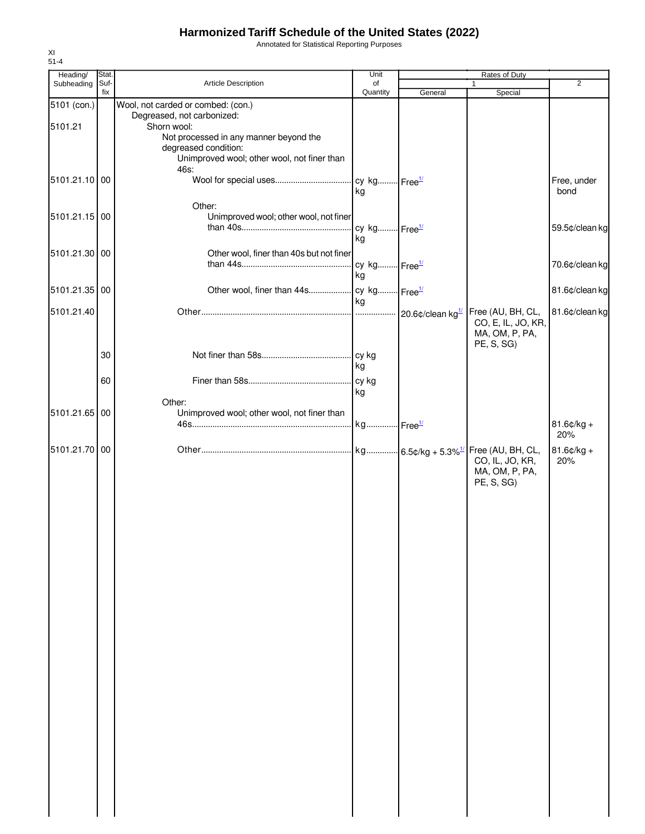Annotated for Statistical Reporting Purposes

| Heading/      | Stat.       |                                                       | Unit                     |         | Rates of Duty                     |                |
|---------------|-------------|-------------------------------------------------------|--------------------------|---------|-----------------------------------|----------------|
| Subheading    | Suf-<br>fix | Article Description                                   | of<br>Quantity           | General | 1<br>Special                      | $\overline{2}$ |
| 5101 (con.)   |             | Wool, not carded or combed: (con.)                    |                          |         |                                   |                |
| 5101.21       |             | Degreased, not carbonized:<br>Shorn wool:             |                          |         |                                   |                |
|               |             | Not processed in any manner beyond the                |                          |         |                                   |                |
|               |             | degreased condition:                                  |                          |         |                                   |                |
|               |             | Unimproved wool; other wool, not finer than<br>46s:   |                          |         |                                   |                |
| 5101.21.10 00 |             |                                                       |                          |         |                                   | Free, under    |
|               |             |                                                       | kg                       |         |                                   | bond           |
|               |             | Other:                                                |                          |         |                                   |                |
| 5101.21.15 00 |             | Unimproved wool; other wool, not finer                | cy kg Free <sup>1/</sup> |         |                                   | 59.5¢/clean kg |
|               |             |                                                       | kg                       |         |                                   |                |
| 5101.21.30 00 |             | Other wool, finer than 40s but not finer              |                          |         |                                   |                |
|               |             |                                                       | cy kg Free <sup>1/</sup> |         |                                   | 70.6¢/clean kg |
|               |             |                                                       | kg                       |         |                                   |                |
| 5101.21.35 00 |             |                                                       |                          |         |                                   | 81.6¢/clean kg |
| 5101.21.40    |             |                                                       | kg                       |         | Free (AU, BH, CL,                 | 81.6¢/clean kg |
|               |             |                                                       |                          |         | CO, E, IL, JO, KR,                |                |
|               |             |                                                       |                          |         | MA, OM, P, PA,                    |                |
|               | 30          |                                                       |                          |         | PE, S, SG)                        |                |
|               |             |                                                       | kg                       |         |                                   |                |
|               | 60          |                                                       | cy kg                    |         |                                   |                |
|               |             |                                                       | kg                       |         |                                   |                |
| 5101.21.65    | 00          | Other:<br>Unimproved wool; other wool, not finer than |                          |         |                                   |                |
|               |             |                                                       |                          |         |                                   | $81.6$ ¢/kg +  |
|               |             |                                                       |                          |         |                                   | 20%            |
| 5101.21.70 00 |             |                                                       |                          |         |                                   | $81.6¢/kg +$   |
|               |             |                                                       |                          |         | CO, IL, JO, KR,<br>MA, OM, P, PA, | 20%            |
|               |             |                                                       |                          |         | PE, S, SG)                        |                |
|               |             |                                                       |                          |         |                                   |                |
|               |             |                                                       |                          |         |                                   |                |
|               |             |                                                       |                          |         |                                   |                |
|               |             |                                                       |                          |         |                                   |                |
|               |             |                                                       |                          |         |                                   |                |
|               |             |                                                       |                          |         |                                   |                |
|               |             |                                                       |                          |         |                                   |                |
|               |             |                                                       |                          |         |                                   |                |
|               |             |                                                       |                          |         |                                   |                |
|               |             |                                                       |                          |         |                                   |                |
|               |             |                                                       |                          |         |                                   |                |
|               |             |                                                       |                          |         |                                   |                |
|               |             |                                                       |                          |         |                                   |                |
|               |             |                                                       |                          |         |                                   |                |
|               |             |                                                       |                          |         |                                   |                |
|               |             |                                                       |                          |         |                                   |                |
|               |             |                                                       |                          |         |                                   |                |
|               |             |                                                       |                          |         |                                   |                |
|               |             |                                                       |                          |         |                                   |                |
|               |             |                                                       |                          |         |                                   |                |
|               |             |                                                       |                          |         |                                   |                |
|               |             |                                                       |                          |         |                                   |                |
|               |             |                                                       |                          |         |                                   |                |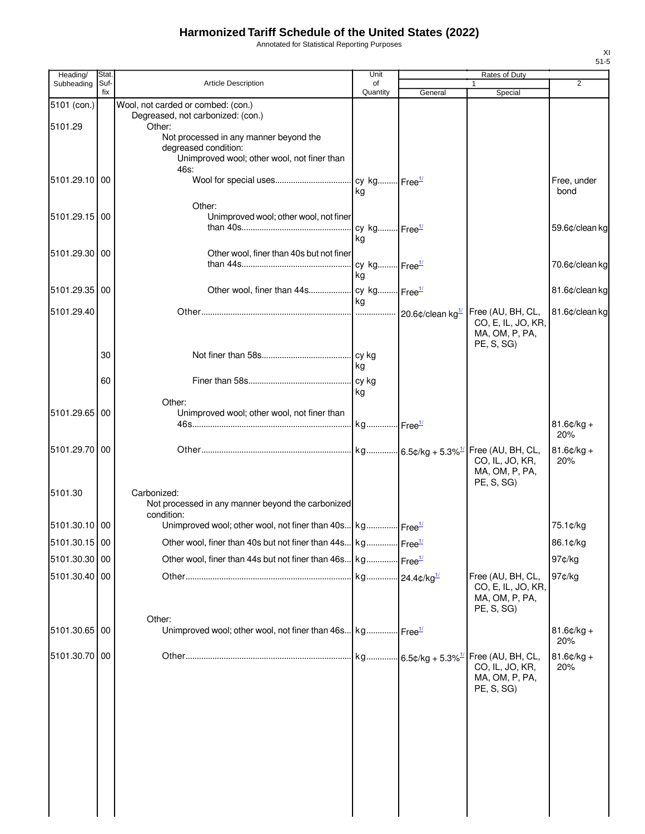Annotated for Statistical Reporting Purposes

| Heading/      | Stat.       |                                                                                     | Unit                     |         | <b>Rates of Duty</b>                    |                      |
|---------------|-------------|-------------------------------------------------------------------------------------|--------------------------|---------|-----------------------------------------|----------------------|
| Subheading    | Suf-<br>fix | Article Description                                                                 | of<br>Quantity           | General | Special                                 | 2                    |
| 5101 (con.)   |             | Wool, not carded or combed: (con.)                                                  |                          |         |                                         |                      |
| 5101.29       |             | Degreased, not carbonized: (con.)                                                   |                          |         |                                         |                      |
|               |             | Other:<br>Not processed in any manner beyond the                                    |                          |         |                                         |                      |
|               |             | degreased condition:                                                                |                          |         |                                         |                      |
|               |             | Unimproved wool; other wool, not finer than<br>46s:                                 |                          |         |                                         |                      |
| 5101.29.10 00 |             |                                                                                     |                          |         |                                         | Free, under          |
|               |             |                                                                                     | kg                       |         |                                         | bond                 |
|               |             | Other:                                                                              |                          |         |                                         |                      |
| 5101.29.15 00 |             | Unimproved wool; other wool, not finer                                              | cy kg Free <sup>1/</sup> |         |                                         | 59.6¢/clean kg       |
|               |             |                                                                                     | kg                       |         |                                         |                      |
| 5101.29.30 00 |             | Other wool, finer than 40s but not finer                                            |                          |         |                                         |                      |
|               |             |                                                                                     | ka                       |         |                                         | 70.6¢/clean kg       |
| 5101.29.35 00 |             |                                                                                     |                          |         |                                         | 81.6¢/clean kg       |
|               |             |                                                                                     | ka                       |         |                                         |                      |
| 5101.29.40    |             |                                                                                     |                          |         | Free (AU, BH, CL,                       | 81.6¢/clean kg       |
|               |             |                                                                                     |                          |         | CO, E, IL, JO, KR,<br>MA, OM, P, PA,    |                      |
|               |             |                                                                                     |                          |         | PE, S, SG)                              |                      |
|               | 30          |                                                                                     |                          |         |                                         |                      |
|               |             |                                                                                     | kg                       |         |                                         |                      |
|               | 60          |                                                                                     | kg                       |         |                                         |                      |
|               |             | Other:                                                                              |                          |         |                                         |                      |
| 5101.29.65 00 |             | Unimproved wool; other wool, not finer than                                         |                          |         |                                         |                      |
|               |             |                                                                                     |                          |         |                                         | $81.6$ ¢/kg +<br>20% |
| 5101.29.70 00 |             |                                                                                     |                          |         | Free (AU, BH, CL,                       | $81.6$ ¢/kg +        |
|               |             |                                                                                     |                          |         | CO, IL, JO, KR,                         | 20%                  |
|               |             |                                                                                     |                          |         | MA, OM, P, PA,<br>PE, S, SG)            |                      |
| 5101.30       |             | Carbonized:                                                                         |                          |         |                                         |                      |
|               |             | Not processed in any manner beyond the carbonized                                   |                          |         |                                         |                      |
| 5101.30.10 00 |             | condition:<br>Unimproved wool; other wool, not finer than 40s kg Free <sup>14</sup> |                          |         |                                         | 75.1¢/kg             |
| 5101.30.15 00 |             | Other wool, finer than 40s but not finer than 44s kg Free <sup>1/</sup>             |                          |         |                                         | 86.1¢/kg             |
|               |             |                                                                                     |                          |         |                                         |                      |
| 5101.30.30 00 |             | Other wool, finer than 44s but not finer than 46s kg Free <sup>1/</sup>             |                          |         |                                         | 97¢/kg               |
| 5101.30.40 00 |             |                                                                                     |                          |         | Free (AU, BH, CL,<br>CO, E, IL, JO, KR, | 97¢/kg               |
|               |             |                                                                                     |                          |         | MA, OM, P, PA,                          |                      |
|               |             |                                                                                     |                          |         | PE, S, SG)                              |                      |
| 5101.30.65 00 |             | Other:<br>Unimproved wool; other wool, not finer than 46s kg Free <sup>1/</sup>     |                          |         |                                         | $81.6¢/kg +$         |
|               |             |                                                                                     |                          |         |                                         | 20%                  |
| 5101.30.70 00 |             |                                                                                     |                          |         |                                         | $81.6¢/kg +$         |
|               |             |                                                                                     |                          |         | CO, IL, JO, KR,                         | 20%                  |
|               |             |                                                                                     |                          |         | MA, OM, P, PA,<br>PE, S, SG)            |                      |
|               |             |                                                                                     |                          |         |                                         |                      |
|               |             |                                                                                     |                          |         |                                         |                      |
|               |             |                                                                                     |                          |         |                                         |                      |
|               |             |                                                                                     |                          |         |                                         |                      |
|               |             |                                                                                     |                          |         |                                         |                      |
|               |             |                                                                                     |                          |         |                                         |                      |
|               |             |                                                                                     |                          |         |                                         |                      |
|               |             |                                                                                     |                          |         |                                         |                      |
|               |             |                                                                                     |                          |         |                                         |                      |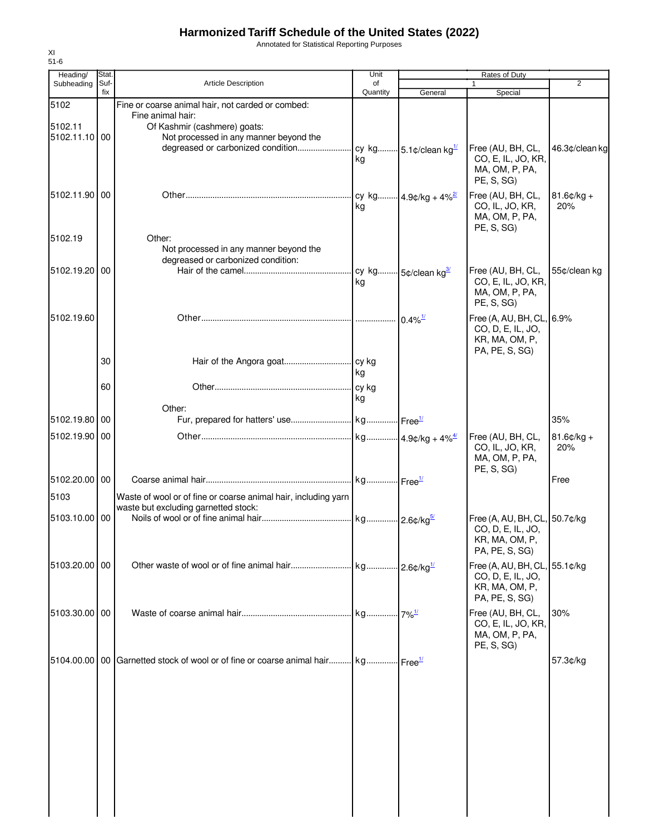Annotated for Statistical Reporting Purposes

| Heading/                 | Stat.       |                                                                                                        | Unit           |         | Rates of Duty                                                                          |                      |
|--------------------------|-------------|--------------------------------------------------------------------------------------------------------|----------------|---------|----------------------------------------------------------------------------------------|----------------------|
| Subheading               | Suf-<br>fix | <b>Article Description</b>                                                                             | of<br>Quantity | General | $\mathbf{1}$<br>Special                                                                | $\overline{2}$       |
| 5102                     |             | Fine or coarse animal hair, not carded or combed:<br>Fine animal hair:                                 |                |         |                                                                                        |                      |
| 5102.11<br>5102.11.10 00 |             | Of Kashmir (cashmere) goats:<br>Not processed in any manner beyond the                                 | kg             |         | Free (AU, BH, CL,<br>CO, E, IL, JO, KR,<br>MA, OM, P, PA,<br>PE, S, SG)                | 46.3¢/clean kg       |
| 5102.11.90 00            |             |                                                                                                        | kg             |         | Free (AU, BH, CL,<br>CO, IL, JO, KR,<br>MA, OM, P, PA,<br>PE, S, SG                    | $81.6$ ¢/kg +<br>20% |
| 5102.19                  |             | Other:<br>Not processed in any manner beyond the<br>degreased or carbonized condition:                 |                |         |                                                                                        |                      |
| 5102.19.20 00            |             |                                                                                                        | kg             |         | Free (AU, BH, CL,<br>CO, E, IL, JO, KR,<br>MA, OM, P, PA,<br>PE, S, SG)                | 55¢/clean kg         |
| 5102.19.60               |             |                                                                                                        |                |         | Free (A, AU, BH, CL, 6.9%<br>CO, D, E, IL, JO,<br>KR, MA, OM, P,<br>PA, PE, S, SG)     |                      |
|                          | 30          |                                                                                                        | l kg           |         |                                                                                        |                      |
|                          | 60          | Other:                                                                                                 | kg             |         |                                                                                        |                      |
| 5102.19.80 00            |             |                                                                                                        |                |         |                                                                                        | 35%                  |
| 5102.19.90 00            |             |                                                                                                        |                |         | Free (AU, BH, CL,<br>CO, IL, JO, KR,<br>MA, OM, P, PA,<br>PE, S, SG)                   | $81.6¢/kg +$<br>20%  |
| 5102.20.00 00            |             |                                                                                                        |                |         |                                                                                        | Free                 |
| 5103                     |             | Waste of wool or of fine or coarse animal hair, including yarn<br>waste but excluding garnetted stock: |                |         |                                                                                        |                      |
| 5103.10.00 00            |             |                                                                                                        |                |         | Free (A, AU, BH, CL, 50.7¢/kg<br>CO, D, E, IL, JO,<br>KR, MA, OM, P,<br>PA, PE, S, SG) |                      |
| 5103.20.00 00            |             |                                                                                                        |                |         | Free (A, AU, BH, CL, 55.1¢/kg<br>CO, D, E, IL, JO,<br>KR, MA, OM, P,<br>PA, PE, S, SG) |                      |
| 5103.30.00 00            |             |                                                                                                        |                |         | Free (AU, BH, CL,<br>CO, E, IL, JO, KR,<br>MA, OM, P, PA,<br>PE, S, SG                 | 30%                  |
|                          |             | 5104.00.00   00 Garnetted stock of wool or of fine or coarse animal hair kg Free <sup>1/</sup>         |                |         |                                                                                        | 57.3¢/kg             |
|                          |             |                                                                                                        |                |         |                                                                                        |                      |
|                          |             |                                                                                                        |                |         |                                                                                        |                      |
|                          |             |                                                                                                        |                |         |                                                                                        |                      |
|                          |             |                                                                                                        |                |         |                                                                                        |                      |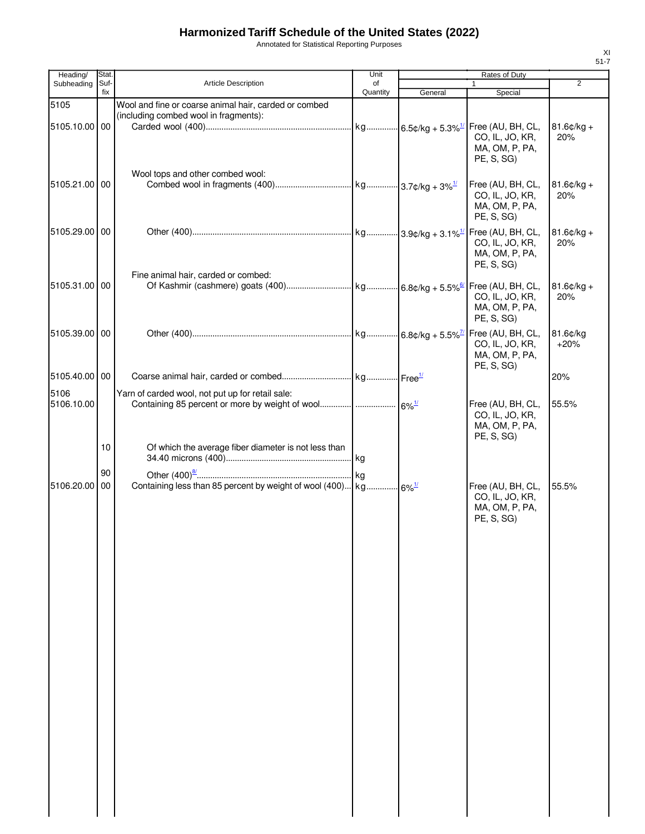Annotated for Statistical Reporting Purposes

| Heading/           | Stat. |                                                                                                | Unit     |         | Rates of Duty                                                        |                      |
|--------------------|-------|------------------------------------------------------------------------------------------------|----------|---------|----------------------------------------------------------------------|----------------------|
| Subheading         | Suf-  | <b>Article Description</b>                                                                     | of       |         |                                                                      | $\overline{2}$       |
| 5105               | fix   | Wool and fine or coarse animal hair, carded or combed<br>(including combed wool in fragments): | Quantity | General | Special                                                              |                      |
| 5105.10.00 00      |       | Wool tops and other combed wool:                                                               |          |         | CO, IL, JO, KR,<br>MA, OM, P, PA,<br>PE, S, SG)                      | $81.6¢/kg +$<br>20%  |
| 5105.21.00 00      |       |                                                                                                |          |         | Free (AU, BH, CL,<br>CO, IL, JO, KR,<br>MA, OM, P, PA,<br>PE, S, SG) | $81.6$ ¢/kg +<br>20% |
| 5105.29.00 00      |       |                                                                                                |          |         | CO, IL, JO, KR,<br>MA, OM, P, PA,<br>PE, S, SG)                      | $81.6$ ¢/kg +<br>20% |
| 5105.31.00 00      |       | Fine animal hair, carded or combed:                                                            |          |         | CO, IL, JO, KR,<br>MA, OM, P, PA,<br>PE, S, SG)                      | $81.6$ ¢/kg +<br>20% |
| 5105.39.00 00      |       |                                                                                                |          |         | CO, IL, JO, KR,<br>MA, OM, P, PA,<br>PE, S, SG                       | 81.6¢/kg<br>$+20%$   |
| 5105.40.00 00      |       |                                                                                                |          |         |                                                                      | 20%                  |
| 5106<br>5106.10.00 |       | Yarn of carded wool, not put up for retail sale:                                               |          |         | Free (AU, BH, CL,<br>CO, IL, JO, KR,<br>MA, OM, P, PA,<br>PE, S, SG) | 55.5%                |
|                    | 10    | Of which the average fiber diameter is not less than                                           |          |         |                                                                      |                      |
|                    | 90    |                                                                                                |          |         |                                                                      |                      |
| 5106.20.00 00      |       | Containing less than 85 percent by weight of wool (400) kg 6% <sup>1/</sup>                    |          |         | Free (AU, BH, CL,<br>CO, IL, JO, KR,<br>MA, OM, P, PA,<br>PE, S, SG) | 55.5%                |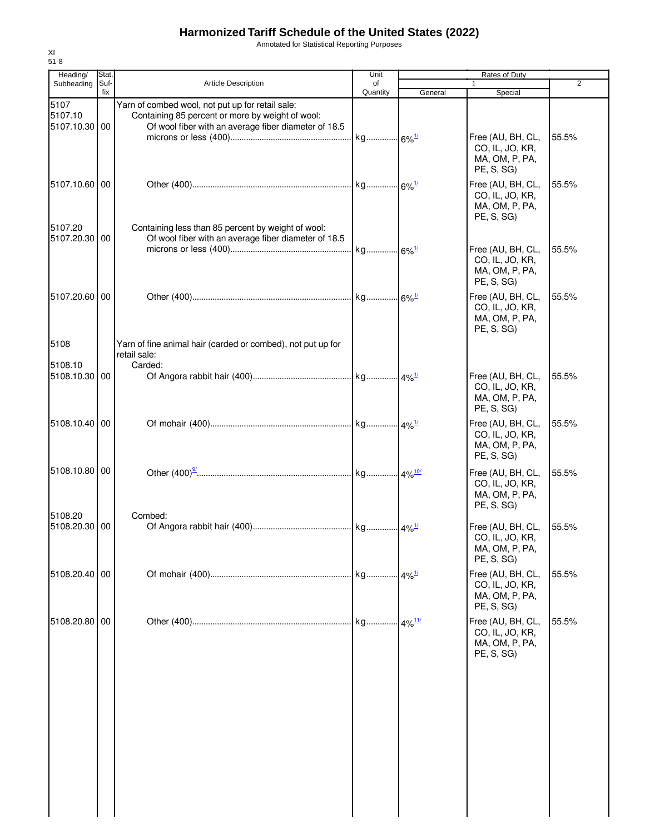Annotated for Statistical Reporting Purposes

| Heading/                         | Stat. |                                                                                                                                                              | Unit                 |                      | Rates of Duty                                                        |                |
|----------------------------------|-------|--------------------------------------------------------------------------------------------------------------------------------------------------------------|----------------------|----------------------|----------------------------------------------------------------------|----------------|
| Subheading                       | Suf-  | <b>Article Description</b>                                                                                                                                   | of                   |                      | 1                                                                    | $\overline{2}$ |
| 5107<br>5107.10<br>5107.10.30 00 | fix   | Yarn of combed wool, not put up for retail sale:<br>Containing 85 percent or more by weight of wool:<br>Of wool fiber with an average fiber diameter of 18.5 | Quantity             | General              | Special                                                              |                |
|                                  |       |                                                                                                                                                              | kg 6% <sup>1/</sup>  |                      | Free (AU, BH, CL,<br>CO, IL, JO, KR,<br>MA, OM, P, PA,<br>PE, S, SG) | 55.5%          |
| 5107.10.60 00<br>5107.20         |       | Containing less than 85 percent by weight of wool:                                                                                                           |                      |                      | Free (AU, BH, CL,<br>CO, IL, JO, KR,<br>MA, OM, P, PA,<br>PE, S, SG) | 55.5%          |
| 5107.20.30 00                    |       | Of wool fiber with an average fiber diameter of 18.5                                                                                                         |                      |                      | Free (AU, BH, CL,<br>CO, IL, JO, KR,<br>MA, OM, P, PA,<br>PE, S, SG) | 55.5%          |
| 5107.20.60 00                    |       |                                                                                                                                                              |                      |                      | Free (AU, BH, CL,<br>CO, IL, JO, KR,<br>MA, OM, P, PA,<br>PE, S, SG) | 55.5%          |
| 5108                             |       | Yarn of fine animal hair (carded or combed), not put up for<br>retail sale:                                                                                  |                      |                      |                                                                      |                |
| 5108.10<br>5108.10.30 00         |       | Carded:                                                                                                                                                      |                      |                      | Free (AU, BH, CL,<br>CO, IL, JO, KR,<br>MA, OM, P, PA,<br>PE, S, SG) | 55.5%          |
| 5108.10.40 00                    |       |                                                                                                                                                              |                      |                      | Free (AU, BH, CL,<br>CO, IL, JO, KR,<br>MA, OM, P, PA,<br>PE, S, SG) | 55.5%          |
| 5108.10.80 00                    |       |                                                                                                                                                              |                      |                      | Free (AU, BH, CL,<br>CO, IL, JO, KR,<br>MA, OM, P, PA,<br>PE, S, SG) | 55.5%          |
| 5108.20<br>5108.20.30 00         |       | Combed:                                                                                                                                                      |                      |                      | Free (AU, BH, CL,<br>CO, IL, JO, KR,<br>MA, OM, P, PA,<br>PE, S, SG) | 55.5%          |
| 5108.20.40 00                    |       |                                                                                                                                                              | kg                   | $-4\%$ <sup>1/</sup> | Free (AU, BH, CL,<br>CO, IL, JO, KR,<br>MA, OM, P, PA,<br>PE, S, SG) | 55.5%          |
| 5108.20.80                       | 00    |                                                                                                                                                              | kg 4% <sup>11/</sup> |                      | Free (AU, BH, CL,<br>CO, IL, JO, KR,<br>MA, OM, P, PA,<br>PE, S, SG) | 55.5%          |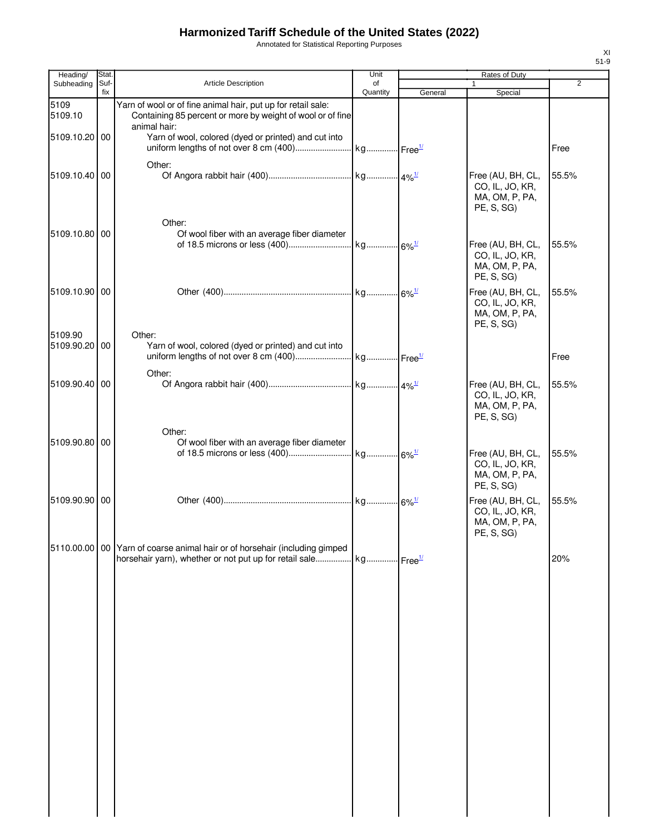Annotated for Statistical Reporting Purposes

| Heading/                 | Stat.       |                                                                                                                                                            | Unit           |         | <b>Rates of Duty</b>                                                 |                |
|--------------------------|-------------|------------------------------------------------------------------------------------------------------------------------------------------------------------|----------------|---------|----------------------------------------------------------------------|----------------|
| Subheading               | Suf-<br>fix | <b>Article Description</b>                                                                                                                                 | of<br>Quantity | General | Special                                                              | $\overline{2}$ |
| 5109<br>5109.10          |             | Yarn of wool or of fine animal hair, put up for retail sale:<br>Containing 85 percent or more by weight of wool or of fine<br>animal hair:                 |                |         |                                                                      |                |
| 5109.10.20 00            |             | Yarn of wool, colored (dyed or printed) and cut into                                                                                                       |                |         |                                                                      | Free           |
| 5109.10.40 00            |             | Other:                                                                                                                                                     |                |         | Free (AU, BH, CL,<br>CO, IL, JO, KR,<br>MA, OM, P, PA,<br>PE, S, SG) | 55.5%          |
| 5109.10.80               | 00          | Other:<br>Of wool fiber with an average fiber diameter                                                                                                     |                |         | Free (AU, BH, CL,<br>CO, IL, JO, KR,<br>MA, OM, P, PA,<br>PE, S, SG) | 55.5%          |
| 5109.10.90 00            |             |                                                                                                                                                            |                |         | Free (AU, BH, CL,<br>CO, IL, JO, KR,<br>MA, OM, P, PA,<br>PE, S, SG) | 55.5%          |
| 5109.90<br>5109.90.20 00 |             | Other:<br>Yarn of wool, colored (dyed or printed) and cut into                                                                                             |                |         |                                                                      | Free           |
| 5109.90.40               | 00          | Other:                                                                                                                                                     |                |         | Free (AU, BH, CL,<br>CO, IL, JO, KR,<br>MA, OM, P, PA,<br>PE, S, SG) | 55.5%          |
| 5109.90.80 00            |             | Other:<br>Of wool fiber with an average fiber diameter                                                                                                     |                |         | Free (AU, BH, CL,<br>CO, IL, JO, KR,<br>MA, OM, P, PA,<br>PE, S, SG) | 55.5%          |
| 5109.90.90 00            |             |                                                                                                                                                            |                |         | Free (AU, BH, CL,<br>CO, IL, JO, KR,<br>MA, OM, P, PA,<br>PE, S, SG) | 55.5%          |
|                          |             | 5110.00.00 00 Yarn of coarse animal hair or of horsehair (including gimped<br>horsehair yarn), whether or not put up for retail sale kg Free <sup>1/</sup> |                |         |                                                                      | 20%            |
|                          |             |                                                                                                                                                            |                |         |                                                                      |                |
|                          |             |                                                                                                                                                            |                |         |                                                                      |                |
|                          |             |                                                                                                                                                            |                |         |                                                                      |                |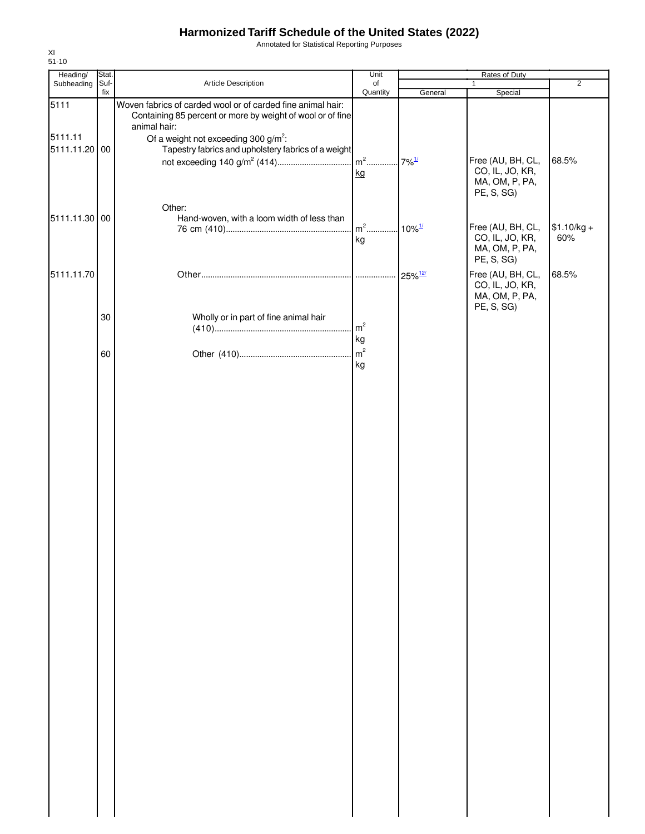Annotated for Statistical Reporting Purposes

| Heading/                 | Stat.       |                                                                                                                           | Unit                 | Rates of Duty         |                                                                      |                     |  |
|--------------------------|-------------|---------------------------------------------------------------------------------------------------------------------------|----------------------|-----------------------|----------------------------------------------------------------------|---------------------|--|
| Subheading               | Suf-<br>fix | Article Description                                                                                                       | of<br>Quantity       |                       | $\mathbf{1}$                                                         | $\overline{2}$      |  |
| 5111                     |             | Woven fabrics of carded wool or of carded fine animal hair:<br>Containing 85 percent or more by weight of wool or of fine |                      | General               | Special                                                              |                     |  |
| 5111.11<br>5111.11.20 00 |             | animal hair:<br>Of a weight not exceeding 300 $g/m^2$ :<br>Tapestry fabrics and upholstery fabrics of a weight            | kg                   |                       | Free (AU, BH, CL,<br>CO, IL, JO, KR,<br>MA, OM, P, PA,<br>PE, S, SG) | 68.5%               |  |
| 5111.11.30 00            |             | Other:<br>Hand-woven, with a loom width of less than                                                                      | $\mathsf{m}^2$<br>kg | $.10\%$ <sup>1/</sup> | Free (AU, BH, CL,<br>CO, IL, JO, KR,<br>MA, OM, P, PA,<br>PE, S, SG) | $$1.10/kg +$<br>60% |  |
| 5111.11.70               |             |                                                                                                                           |                      | $25\%$ <sup>12/</sup> | Free (AU, BH, CL,<br>CO, IL, JO, KR,<br>MA, OM, P, PA,               | 68.5%               |  |
|                          | 30          | Wholly or in part of fine animal hair                                                                                     | m <sup>2</sup><br>kg |                       | PE, S, SG)                                                           |                     |  |
|                          | 60          |                                                                                                                           | m <sup>2</sup><br>kg |                       |                                                                      |                     |  |
|                          |             |                                                                                                                           |                      |                       |                                                                      |                     |  |
|                          |             |                                                                                                                           |                      |                       |                                                                      |                     |  |
|                          |             |                                                                                                                           |                      |                       |                                                                      |                     |  |
|                          |             |                                                                                                                           |                      |                       |                                                                      |                     |  |
|                          |             |                                                                                                                           |                      |                       |                                                                      |                     |  |
|                          |             |                                                                                                                           |                      |                       |                                                                      |                     |  |
|                          |             |                                                                                                                           |                      |                       |                                                                      |                     |  |
|                          |             |                                                                                                                           |                      |                       |                                                                      |                     |  |
|                          |             |                                                                                                                           |                      |                       |                                                                      |                     |  |
|                          |             |                                                                                                                           |                      |                       |                                                                      |                     |  |
|                          |             |                                                                                                                           |                      |                       |                                                                      |                     |  |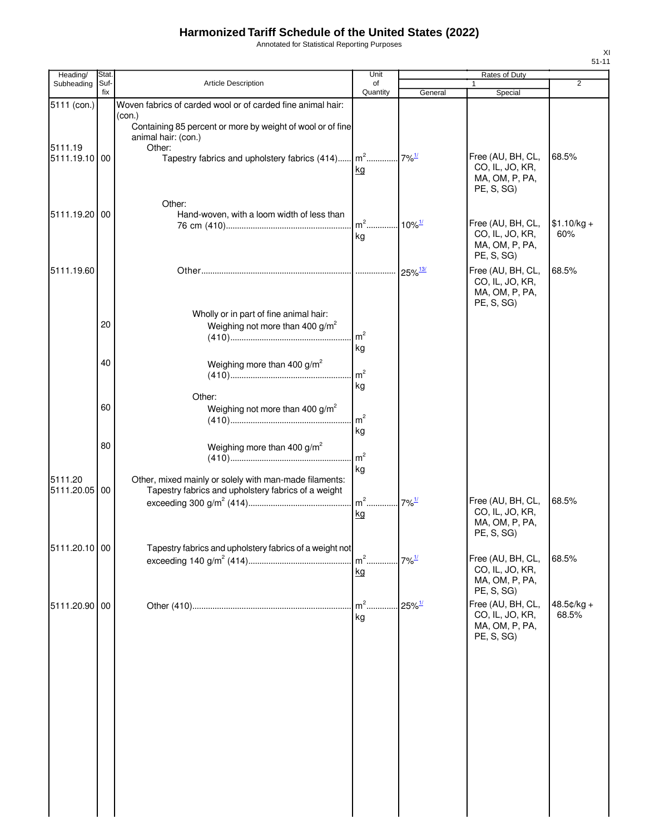Annotated for Statistical Reporting Purposes

| Heading/                                | Stat.       |                                                                                                                                                                                                                                                       | Unit                   |                       | Rates of Duty                                                                      |                       |
|-----------------------------------------|-------------|-------------------------------------------------------------------------------------------------------------------------------------------------------------------------------------------------------------------------------------------------------|------------------------|-----------------------|------------------------------------------------------------------------------------|-----------------------|
| Subheading                              | Suf-<br>fix | Article Description                                                                                                                                                                                                                                   | of<br>Quantity         | General               | $\mathbf{1}$<br>Special                                                            | 2                     |
| 5111 (con.)<br>5111.19<br>5111.19.10 00 |             | Woven fabrics of carded wool or of carded fine animal hair:<br>(con.)<br>Containing 85 percent or more by weight of wool or of fine<br>animal hair: (con.)<br>Other:<br>Tapestry fabrics and upholstery fabrics (414) m <sup>2</sup> 7% <sup>1/</sup> | kg                     |                       | Free (AU, BH, CL,<br>CO, IL, JO, KR,<br>MA, OM, P, PA,<br>PE, S, SG)               | 68.5%                 |
| 5111.19.20 00                           |             | Other:<br>Hand-woven, with a loom width of less than                                                                                                                                                                                                  | $m2$ .<br>kg           | $10\%$ <sup>1/</sup>  | Free (AU, BH, CL,<br>CO, IL, JO, KR,<br>MA, OM, P, PA,<br>PE, S, SG)               | $$1.10/kg +$<br>60%   |
| 5111.19.60                              |             |                                                                                                                                                                                                                                                       |                        | $25\%$ <sup>13/</sup> | Free (AU, BH, CL,<br>CO, IL, JO, KR,<br>MA, OM, P, PA,<br>PE, S, SG)               | 68.5%                 |
|                                         | 20          | Wholly or in part of fine animal hair:<br>Weighing not more than 400 $g/m^2$                                                                                                                                                                          | m <sup>2</sup><br>  kg |                       |                                                                                    |                       |
|                                         | 40          | Weighing more than 400 $g/m^2$                                                                                                                                                                                                                        | m <sup>2</sup><br>kg   |                       |                                                                                    |                       |
|                                         | 60          | Other:<br>Weighing not more than 400 $g/m^2$                                                                                                                                                                                                          | m <sup>2</sup><br>kg   |                       |                                                                                    |                       |
|                                         | 80          | Weighing more than 400 $g/m^2$                                                                                                                                                                                                                        | m <sup>2</sup><br>kg   |                       |                                                                                    |                       |
| 5111.20<br>5111.20.05 00                |             | Other, mixed mainly or solely with man-made filaments:<br>Tapestry fabrics and upholstery fabrics of a weight                                                                                                                                         | $m2$<br>kg             | $7\%$ <sup>1/</sup>   | Free (AU, BH, CL,<br>CO, IL, JO, KR,<br>MA, OM, P, PA,<br>PE, S, SG)               | 68.5%                 |
| 5111.20.10 00                           |             | Tapestry fabrics and upholstery fabrics of a weight not                                                                                                                                                                                               | $m2$ .<br>kg           | $7\%$ <sup>1/</sup>   | Free (AU, BH, CL,<br>CO, IL, JO, KR,<br>MA, OM, P, PA,                             | 68.5%                 |
| 5111.20.90 00                           |             |                                                                                                                                                                                                                                                       | $m2$ .<br>kg           | $25\%$ <sup>1/</sup>  | PE, S, SG)<br>Free (AU, BH, CL,<br>CO, IL, JO, KR,<br>MA, OM, P, PA,<br>PE, S, SG) | $48.5¢/kg +$<br>68.5% |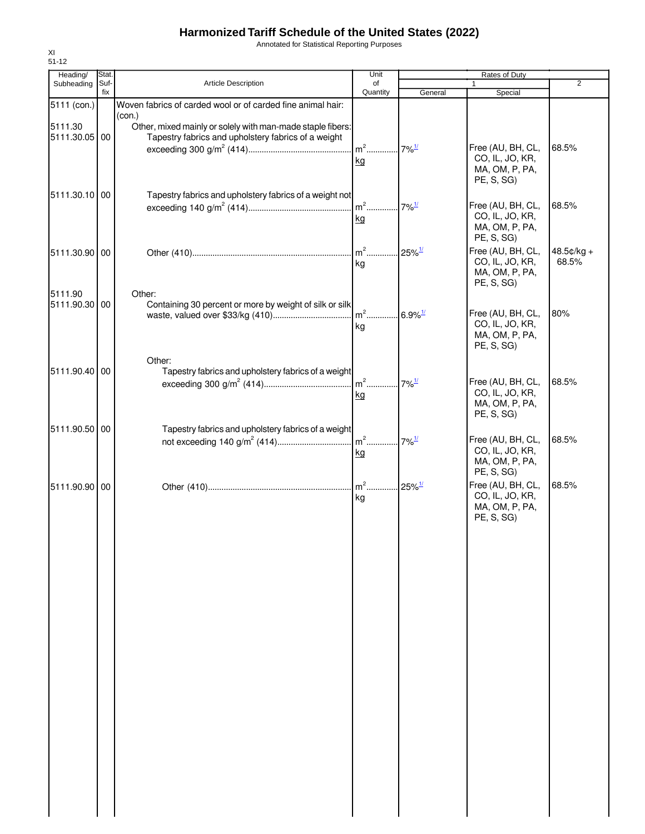Annotated for Statistical Reporting Purposes

| Heading/      | Stat.       |                                                             | Unit                              |                     | Rates of Duty                     |               |
|---------------|-------------|-------------------------------------------------------------|-----------------------------------|---------------------|-----------------------------------|---------------|
| Subheading    | Suf-<br>fix | <b>Article Description</b>                                  | of<br>Quantity                    | General             | $\mathbf{1}$<br>Special           | 2             |
| 5111 (con.)   |             | Woven fabrics of carded wool or of carded fine animal hair: |                                   |                     |                                   |               |
|               |             | (con.)                                                      |                                   |                     |                                   |               |
| 5111.30       |             | Other, mixed mainly or solely with man-made staple fibers:  |                                   |                     |                                   |               |
| 5111.30.05 00 |             | Tapestry fabrics and upholstery fabrics of a weight         |                                   |                     |                                   |               |
|               |             |                                                             | $m2$                              | $7\%$ <sup>1/</sup> | Free (AU, BH, CL,                 | 68.5%         |
|               |             |                                                             | kg                                |                     | CO, IL, JO, KR,<br>MA, OM, P, PA, |               |
|               |             |                                                             |                                   |                     | PE, S, SG                         |               |
| 5111.30.10 00 |             | Tapestry fabrics and upholstery fabrics of a weight not     |                                   |                     |                                   |               |
|               |             |                                                             |                                   |                     | Free (AU, BH, CL,                 | 68.5%         |
|               |             |                                                             | kg                                |                     | CO, IL, JO, KR,                   |               |
|               |             |                                                             |                                   |                     | MA, OM, P, PA,                    |               |
|               |             |                                                             |                                   |                     | PE, S, SG)                        |               |
| 5111.30.90 00 |             |                                                             |                                   |                     | Free (AU, BH, CL,                 | $48.5$ ¢/kg + |
|               |             |                                                             | ka                                |                     | CO, IL, JO, KR,<br>MA, OM, P, PA, | 68.5%         |
|               |             |                                                             |                                   |                     | PE, S, SG)                        |               |
| 5111.90       |             | Other:                                                      |                                   |                     |                                   |               |
| 5111.90.30 00 |             | Containing 30 percent or more by weight of silk or silk     |                                   |                     |                                   |               |
|               |             |                                                             | m <sup>2</sup> 6.9% <sup>1/</sup> |                     | Free (AU, BH, CL,                 | 80%           |
|               |             |                                                             | kg                                |                     | CO, IL, JO, KR,<br>MA, OM, P, PA, |               |
|               |             |                                                             |                                   |                     | PE, S, SG)                        |               |
|               |             | Other:                                                      |                                   |                     |                                   |               |
| 5111.90.40 00 |             | Tapestry fabrics and upholstery fabrics of a weight         |                                   |                     |                                   |               |
|               |             |                                                             |                                   | $7\%$ <sup>1/</sup> | Free (AU, BH, CL,                 | 68.5%         |
|               |             |                                                             | kg                                |                     | CO, IL, JO, KR,                   |               |
|               |             |                                                             |                                   |                     | MA, OM, P, PA,                    |               |
|               |             |                                                             |                                   |                     | PE, S, SG)                        |               |
| 5111.90.50 00 |             | Tapestry fabrics and upholstery fabrics of a weight         |                                   |                     |                                   |               |
|               |             |                                                             |                                   |                     | Free (AU, BH, CL,                 | 68.5%         |
|               |             |                                                             | kg                                |                     | CO, IL, JO, KR,<br>MA, OM, P, PA, |               |
|               |             |                                                             |                                   |                     | PE, S, SG)                        |               |
| 5111.90.90 00 |             |                                                             |                                   |                     | Free (AU, BH, CL,                 | 68.5%         |
|               |             |                                                             | kg                                |                     | CO, IL, JO, KR,                   |               |
|               |             |                                                             |                                   |                     | MA, OM, P, PA,                    |               |
|               |             |                                                             |                                   |                     | PE, S, SG)                        |               |
|               |             |                                                             |                                   |                     |                                   |               |
|               |             |                                                             |                                   |                     |                                   |               |
|               |             |                                                             |                                   |                     |                                   |               |
|               |             |                                                             |                                   |                     |                                   |               |
|               |             |                                                             |                                   |                     |                                   |               |
|               |             |                                                             |                                   |                     |                                   |               |
|               |             |                                                             |                                   |                     |                                   |               |
|               |             |                                                             |                                   |                     |                                   |               |
|               |             |                                                             |                                   |                     |                                   |               |
|               |             |                                                             |                                   |                     |                                   |               |
|               |             |                                                             |                                   |                     |                                   |               |
|               |             |                                                             |                                   |                     |                                   |               |
|               |             |                                                             |                                   |                     |                                   |               |
|               |             |                                                             |                                   |                     |                                   |               |
|               |             |                                                             |                                   |                     |                                   |               |
|               |             |                                                             |                                   |                     |                                   |               |
|               |             |                                                             |                                   |                     |                                   |               |
|               |             |                                                             |                                   |                     |                                   |               |
|               |             |                                                             |                                   |                     |                                   |               |
|               |             |                                                             |                                   |                     |                                   |               |
|               |             |                                                             |                                   |                     |                                   |               |
|               |             |                                                             |                                   |                     |                                   |               |
|               |             |                                                             |                                   |                     |                                   |               |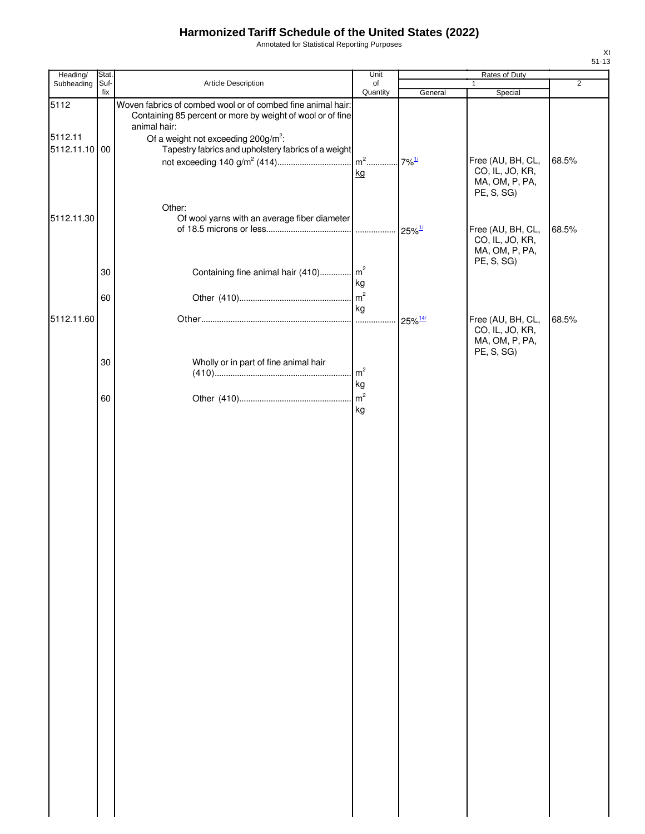Annotated for Statistical Reporting Purposes

| Heading/                 | Stat.       |                                                                                                                                           | Unit           |                       | Rates of Duty                                          |                |
|--------------------------|-------------|-------------------------------------------------------------------------------------------------------------------------------------------|----------------|-----------------------|--------------------------------------------------------|----------------|
| Subheading               | Suf-<br>fix | Article Description                                                                                                                       | of<br>Quantity | General               | $\mathbf{1}$<br>Special                                | $\overline{2}$ |
| 5112                     |             | Woven fabrics of combed wool or of combed fine animal hair:<br>Containing 85 percent or more by weight of wool or of fine<br>animal hair: |                |                       |                                                        |                |
| 5112.11<br>5112.11.10 00 |             | Of a weight not exceeding $200g/m^2$ :<br>Tapestry fabrics and upholstery fabrics of a weight                                             | kg             |                       | Free (AU, BH, CL,<br>CO, IL, JO, KR,<br>MA, OM, P, PA, | 68.5%          |
| 5112.11.30               |             | Other:<br>Of wool yarns with an average fiber diameter                                                                                    |                |                       | PE, S, SG)<br>Free (AU, BH, CL,<br>CO, IL, JO, KR,     | 68.5%          |
|                          | 30          | Containing fine animal hair (410) m <sup>2</sup>                                                                                          | kg             |                       | MA, OM, P, PA,<br>PE, S, SG)                           |                |
| 5112.11.60               | 60          |                                                                                                                                           | kg             | $25\%$ <sup>14/</sup> | Free (AU, BH, CL,<br>CO, IL, JO, KR,                   | 68.5%          |
|                          | 30          | Wholly or in part of fine animal hair                                                                                                     | m <sup>2</sup> |                       | MA, OM, P, PA,<br>PE, S, SG)                           |                |
|                          | 60          |                                                                                                                                           | kg<br>kg       |                       |                                                        |                |
|                          |             |                                                                                                                                           |                |                       |                                                        |                |
|                          |             |                                                                                                                                           |                |                       |                                                        |                |
|                          |             |                                                                                                                                           |                |                       |                                                        |                |
|                          |             |                                                                                                                                           |                |                       |                                                        |                |
|                          |             |                                                                                                                                           |                |                       |                                                        |                |
|                          |             |                                                                                                                                           |                |                       |                                                        |                |
|                          |             |                                                                                                                                           |                |                       |                                                        |                |
|                          |             |                                                                                                                                           |                |                       |                                                        |                |
|                          |             |                                                                                                                                           |                |                       |                                                        |                |
|                          |             |                                                                                                                                           |                |                       |                                                        |                |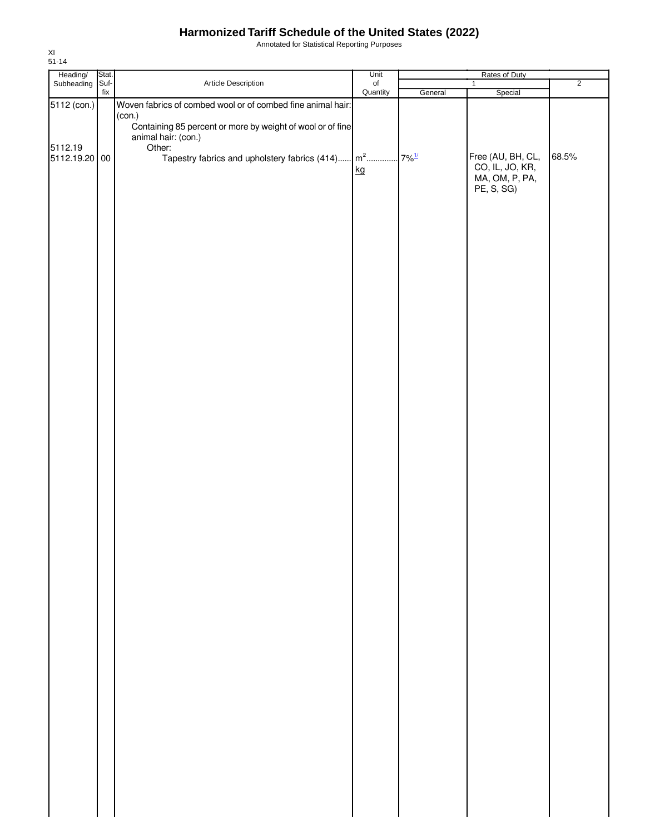Annotated for Statistical Reporting Purposes

| Heading/<br>Subheading | Stat. |                                                                               | Unit      |         | Rates of Duty                        |                |
|------------------------|-------|-------------------------------------------------------------------------------|-----------|---------|--------------------------------------|----------------|
|                        | Suf-  | Article Description                                                           | $\circ$ f |         | 1                                    | $\overline{2}$ |
| 5112 (con.)            | fix   | Woven fabrics of combed wool or of combed fine animal hair:                   | Quantity  | General | Special                              |                |
|                        |       | (con.)                                                                        |           |         |                                      |                |
|                        |       | Containing 85 percent or more by weight of wool or of fine                    |           |         |                                      |                |
|                        |       | animal hair: (con.)                                                           |           |         |                                      |                |
| 5112.19                |       | Other:                                                                        |           |         |                                      |                |
| 5112.19.20 00          |       | Tapestry fabrics and upholstery fabrics (414) m <sup>2</sup> 7% <sup>1/</sup> |           |         | Free (AU, BH, CL,<br>CO, IL, JO, KR, | 68.5%          |
|                        |       |                                                                               | kg        |         | MA, OM, P, PA,                       |                |
|                        |       |                                                                               |           |         | PE, S, SG)                           |                |
|                        |       |                                                                               |           |         |                                      |                |
|                        |       |                                                                               |           |         |                                      |                |
|                        |       |                                                                               |           |         |                                      |                |
|                        |       |                                                                               |           |         |                                      |                |
|                        |       |                                                                               |           |         |                                      |                |
|                        |       |                                                                               |           |         |                                      |                |
|                        |       |                                                                               |           |         |                                      |                |
|                        |       |                                                                               |           |         |                                      |                |
|                        |       |                                                                               |           |         |                                      |                |
|                        |       |                                                                               |           |         |                                      |                |
|                        |       |                                                                               |           |         |                                      |                |
|                        |       |                                                                               |           |         |                                      |                |
|                        |       |                                                                               |           |         |                                      |                |
|                        |       |                                                                               |           |         |                                      |                |
|                        |       |                                                                               |           |         |                                      |                |
|                        |       |                                                                               |           |         |                                      |                |
|                        |       |                                                                               |           |         |                                      |                |
|                        |       |                                                                               |           |         |                                      |                |
|                        |       |                                                                               |           |         |                                      |                |
|                        |       |                                                                               |           |         |                                      |                |
|                        |       |                                                                               |           |         |                                      |                |
|                        |       |                                                                               |           |         |                                      |                |
|                        |       |                                                                               |           |         |                                      |                |
|                        |       |                                                                               |           |         |                                      |                |
|                        |       |                                                                               |           |         |                                      |                |
|                        |       |                                                                               |           |         |                                      |                |
|                        |       |                                                                               |           |         |                                      |                |
|                        |       |                                                                               |           |         |                                      |                |
|                        |       |                                                                               |           |         |                                      |                |
|                        |       |                                                                               |           |         |                                      |                |
|                        |       |                                                                               |           |         |                                      |                |
|                        |       |                                                                               |           |         |                                      |                |
|                        |       |                                                                               |           |         |                                      |                |
|                        |       |                                                                               |           |         |                                      |                |
|                        |       |                                                                               |           |         |                                      |                |
|                        |       |                                                                               |           |         |                                      |                |
|                        |       |                                                                               |           |         |                                      |                |
|                        |       |                                                                               |           |         |                                      |                |
|                        |       |                                                                               |           |         |                                      |                |
|                        |       |                                                                               |           |         |                                      |                |
|                        |       |                                                                               |           |         |                                      |                |
|                        |       |                                                                               |           |         |                                      |                |
|                        |       |                                                                               |           |         |                                      |                |
|                        |       |                                                                               |           |         |                                      |                |
|                        |       |                                                                               |           |         |                                      |                |
|                        |       |                                                                               |           |         |                                      |                |
|                        |       |                                                                               |           |         |                                      |                |
|                        |       |                                                                               |           |         |                                      |                |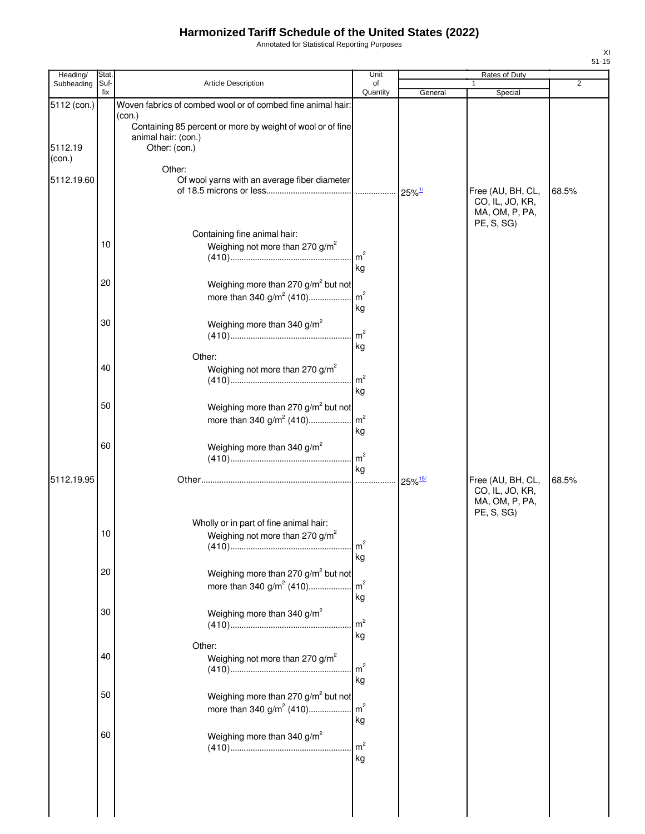Annotated for Statistical Reporting Purposes

| Heading/          | Stat.       |                                                                                                    | Unit                 | Rates of Duty         |                                                                      |                |  |
|-------------------|-------------|----------------------------------------------------------------------------------------------------|----------------------|-----------------------|----------------------------------------------------------------------|----------------|--|
| Subheading        | Suf-<br>fix | Article Description                                                                                | of<br>Quantity       | General               | $\mathbf{1}$<br>Special                                              | $\overline{2}$ |  |
| 5112 (con.)       |             | Woven fabrics of combed wool or of combed fine animal hair:<br>(con.)                              |                      |                       |                                                                      |                |  |
| 5112.19<br>(con.) |             | Containing 85 percent or more by weight of wool or of fine<br>animal hair: (con.)<br>Other: (con.) |                      |                       |                                                                      |                |  |
| 5112.19.60        |             | Other:<br>Of wool yarns with an average fiber diameter                                             |                      |                       | Free (AU, BH, CL,                                                    | 68.5%          |  |
|                   | 10          | Containing fine animal hair:<br>Weighing not more than 270 g/m <sup>2</sup>                        |                      |                       | CO, IL, JO, KR,<br>MA, OM, P, PA,<br>PE, S, SG)                      |                |  |
|                   |             |                                                                                                    | m <sup>2</sup><br>kg |                       |                                                                      |                |  |
|                   | 20          | Weighing more than 270 g/m <sup>2</sup> but not<br>more than 340 g/m <sup>2</sup> (410)            | m <sup>2</sup><br>kg |                       |                                                                      |                |  |
|                   | 30          | Weighing more than 340 $g/m^2$                                                                     | m <sup>2</sup><br>kg |                       |                                                                      |                |  |
|                   | 40          | Other:<br>Weighing not more than 270 g/m <sup>2</sup>                                              | m <sup>2</sup><br>kg |                       |                                                                      |                |  |
|                   | 50          | Weighing more than 270 g/m <sup>2</sup> but not<br>more than 340 $g/m^2$ (410)                     | $\mathsf{m}^2$<br>kg |                       |                                                                      |                |  |
|                   | 60          | Weighing more than 340 g/m <sup>2</sup>                                                            | m <sup>2</sup><br>kg |                       |                                                                      |                |  |
| 5112.19.95        |             |                                                                                                    | $\cdots$             | $25\%$ <sup>15/</sup> | Free (AU, BH, CL,<br>CO, IL, JO, KR,<br>MA, OM, P, PA,<br>PE, S, SG) | 68.5%          |  |
|                   | 10          | Wholly or in part of fine animal hair:<br>Weighing not more than 270 g/m <sup>2</sup>              | m <sup>2</sup><br>kg |                       |                                                                      |                |  |
|                   | 20          | Weighing more than 270 g/m <sup>2</sup> but not<br>more than 340 $g/m^2$ (410)                     | m <sup>2</sup><br>kg |                       |                                                                      |                |  |
|                   | 30          | Weighing more than 340 g/m <sup>2</sup>                                                            | m <sup>2</sup><br>kg |                       |                                                                      |                |  |
|                   | 40          | Other:<br>Weighing not more than 270 g/m <sup>2</sup>                                              | m <sup>2</sup><br>kg |                       |                                                                      |                |  |
|                   | 50          | Weighing more than 270 g/m <sup>2</sup> but not<br>more than 340 $g/m^2$ (410)                     | m <sup>2</sup><br>kg |                       |                                                                      |                |  |
|                   | 60          | Weighing more than 340 $g/m^2$                                                                     | m <sup>2</sup><br>kg |                       |                                                                      |                |  |
|                   |             |                                                                                                    |                      |                       |                                                                      |                |  |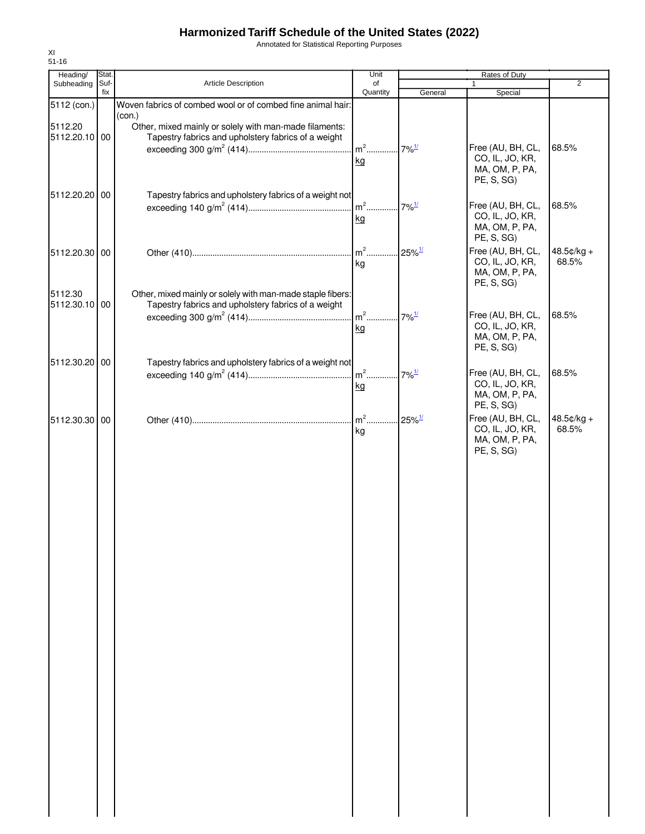Annotated for Statistical Reporting Purposes

| Heading/      | Stat.       |                                                             | Unit           |                      | Rates of Duty                |                |
|---------------|-------------|-------------------------------------------------------------|----------------|----------------------|------------------------------|----------------|
| Subheading    | Suf-<br>fix | Article Description                                         | of<br>Quantity |                      | 1                            | $\overline{2}$ |
| 5112 (con.)   |             | Woven fabrics of combed wool or of combed fine animal hair: |                | General              | Special                      |                |
|               |             | (con.)                                                      |                |                      |                              |                |
| 5112.20       |             | Other, mixed mainly or solely with man-made filaments:      |                |                      |                              |                |
| 5112.20.10 00 |             | Tapestry fabrics and upholstery fabrics of a weight         |                |                      |                              |                |
|               |             |                                                             | $m^2$          | $7\%$ <sup>1/</sup>  | Free (AU, BH, CL,            | 68.5%          |
|               |             |                                                             | kg             |                      | CO, IL, JO, KR,              |                |
|               |             |                                                             |                |                      | MA, OM, P, PA,<br>PE, S, SG) |                |
|               |             |                                                             |                |                      |                              |                |
| 5112.20.20    | 00          | Tapestry fabrics and upholstery fabrics of a weight not     | $m2$           | $7\%$ <sup>1/</sup>  | Free (AU, BH, CL,            | 68.5%          |
|               |             |                                                             | kg             |                      | CO, IL, JO, KR,              |                |
|               |             |                                                             |                |                      | MA, OM, P, PA,               |                |
|               |             |                                                             |                |                      | PE, S, SG)                   |                |
| 5112.20.30 00 |             |                                                             | $m2$ .         | $25\%$ <sup>1/</sup> | Free (AU, BH, CL,            | $48.5¢/kg +$   |
|               |             |                                                             | kg             |                      | CO, IL, JO, KR,              | 68.5%          |
|               |             |                                                             |                |                      | MA, OM, P, PA,               |                |
| 5112.30       |             | Other, mixed mainly or solely with man-made staple fibers:  |                |                      | PE, S, SG)                   |                |
| 5112.30.10 00 |             | Tapestry fabrics and upholstery fabrics of a weight         |                |                      |                              |                |
|               |             |                                                             | $m2$           | $.7\%$ <sup>1/</sup> | Free (AU, BH, CL,            | 68.5%          |
|               |             |                                                             | kg             |                      | CO, IL, JO, KR,              |                |
|               |             |                                                             |                |                      | MA, OM, P, PA,               |                |
|               |             |                                                             |                |                      | PE, S, SG)                   |                |
| 5112.30.20 00 |             | Tapestry fabrics and upholstery fabrics of a weight not     |                |                      |                              |                |
|               |             |                                                             | $m2$           | $7\%$ <sup>1/</sup>  | Free (AU, BH, CL,            | 68.5%          |
|               |             |                                                             | kg             |                      | CO, IL, JO, KR,              |                |
|               |             |                                                             |                |                      | MA, OM, P, PA,<br>PE, S, SG) |                |
|               |             |                                                             | $m2$           | $25\%$ <sup>1/</sup> | Free (AU, BH, CL,            | $48.5¢/kg +$   |
| 5112.30.30 00 |             |                                                             | kg             |                      | CO, IL, JO, KR,              | 68.5%          |
|               |             |                                                             |                |                      | MA, OM, P, PA,               |                |
|               |             |                                                             |                |                      | PE, S, SG)                   |                |
|               |             |                                                             |                |                      |                              |                |
|               |             |                                                             |                |                      |                              |                |
|               |             |                                                             |                |                      |                              |                |
|               |             |                                                             |                |                      |                              |                |
|               |             |                                                             |                |                      |                              |                |
|               |             |                                                             |                |                      |                              |                |
|               |             |                                                             |                |                      |                              |                |
|               |             |                                                             |                |                      |                              |                |
|               |             |                                                             |                |                      |                              |                |
|               |             |                                                             |                |                      |                              |                |
|               |             |                                                             |                |                      |                              |                |
|               |             |                                                             |                |                      |                              |                |
|               |             |                                                             |                |                      |                              |                |
|               |             |                                                             |                |                      |                              |                |
|               |             |                                                             |                |                      |                              |                |
|               |             |                                                             |                |                      |                              |                |
|               |             |                                                             |                |                      |                              |                |
|               |             |                                                             |                |                      |                              |                |
|               |             |                                                             |                |                      |                              |                |
|               |             |                                                             |                |                      |                              |                |
|               |             |                                                             |                |                      |                              |                |
|               |             |                                                             |                |                      |                              |                |
|               |             |                                                             |                |                      |                              |                |
|               |             |                                                             |                |                      |                              |                |
|               |             |                                                             |                |                      |                              |                |
|               |             |                                                             |                |                      |                              |                |
|               |             |                                                             |                |                      |                              |                |
|               |             |                                                             |                |                      |                              |                |
|               |             |                                                             |                |                      |                              |                |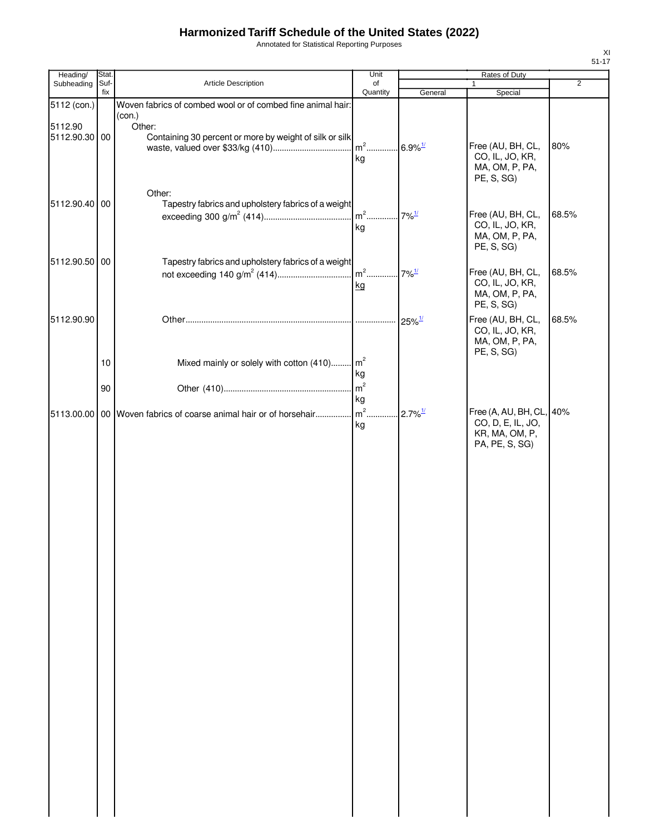Annotated for Statistical Reporting Purposes

| ٠<br>۰. |  |  |  |
|---------|--|--|--|

| Heading/                 | Stat.       |                                                                             | Unit                 | Rates of Duty          |                                                                                    |                |
|--------------------------|-------------|-----------------------------------------------------------------------------|----------------------|------------------------|------------------------------------------------------------------------------------|----------------|
| Subheading               | Suf-<br>fix | Article Description                                                         | of<br>Quantity       | General                | Special                                                                            | $\overline{2}$ |
| 5112 (con.)              |             | Woven fabrics of combed wool or of combed fine animal hair:                 |                      |                        |                                                                                    |                |
| 5112.90<br>5112.90.30 00 |             | (con.)<br>Other:<br>Containing 30 percent or more by weight of silk or silk | $m2$<br>kg           | $.6.9\%$ <sup>1/</sup> | Free (AU, BH, CL,<br>CO, IL, JO, KR,<br>MA, OM, P, PA,                             | 80%            |
| 5112.90.40 00            |             | Other:<br>Tapestry fabrics and upholstery fabrics of a weight               | $m2$<br>kg           | $7\%$ <sup>1/</sup>    | PE, S, SG)<br>Free (AU, BH, CL,<br>CO, IL, JO, KR,<br>MA, OM, P, PA,<br>PE, S, SG) | 68.5%          |
| 5112.90.50 00            |             | Tapestry fabrics and upholstery fabrics of a weight                         | kg                   | $7\%$ <sup>1/</sup>    | Free (AU, BH, CL,<br>CO, IL, JO, KR,<br>MA, OM, P, PA,<br>PE, S, SG)               | 68.5%          |
| 5112.90.90               |             |                                                                             | .                    | $25\%$ <sup>1/</sup>   | Free (AU, BH, CL,<br>CO, IL, JO, KR,<br>MA, OM, P, PA,                             | 68.5%          |
|                          | 10          | Mixed mainly or solely with cotton (410) m <sup>2</sup>                     | kg                   |                        | PE, S, SG)                                                                         |                |
|                          | 90          |                                                                             | m <sup>2</sup><br>kg |                        |                                                                                    |                |
|                          |             | 5113.00.00 00 Woven fabrics of coarse animal hair or of horsehair           | $m2$ .<br>kg         | $2.7\%$ <sup>1/</sup>  | Free (A, AU, BH, CL, 40%<br>CO, D, E, IL, JO,<br>KR, MA, OM, P,<br>PA, PE, S, SG)  |                |
|                          |             |                                                                             |                      |                        |                                                                                    |                |
|                          |             |                                                                             |                      |                        |                                                                                    |                |
|                          |             |                                                                             |                      |                        |                                                                                    |                |
|                          |             |                                                                             |                      |                        |                                                                                    |                |
|                          |             |                                                                             |                      |                        |                                                                                    |                |
|                          |             |                                                                             |                      |                        |                                                                                    |                |
|                          |             |                                                                             |                      |                        |                                                                                    |                |